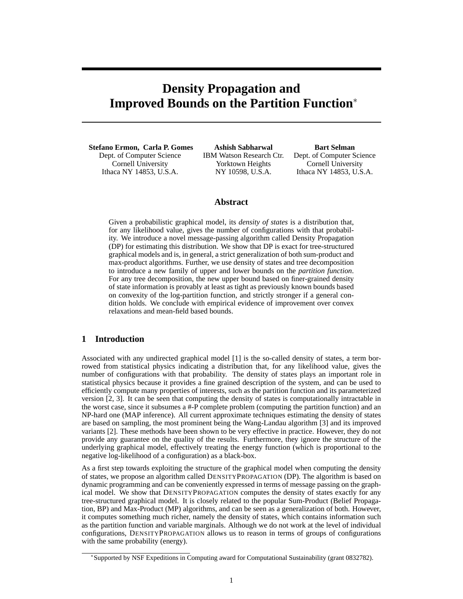# **Density Propagation and Improved Bounds on the Partition Function**<sup>∗</sup>

**Stefano Ermon, Carla P. Gomes** Dept. of Computer Science Cornell University Ithaca NY 14853, U.S.A.

**Ashish Sabharwal** IBM Watson Research Ctr. Yorktown Heights NY 10598, U.S.A.

**Bart Selman** Dept. of Computer Science Cornell University Ithaca NY 14853, U.S.A.

## **Abstract**

Given a probabilistic graphical model, its *density of states* is a distribution that, for any likelihood value, gives the number of configurations with that probability. We introduce a novel message-passing algorithm called Density Propagation (DP) for estimating this distribution. We show that DP is exact for tree-structured graphical models and is, in general, a strict generalization of both sum-product and max-product algorithms. Further, we use density of states and tree decomposition to introduce a new family of upper and lower bounds on the *partition function*. For any tree decomposition, the new upper bound based on finer-grained density of state information is provably at least as tight as previously known bounds based on convexity of the log-partition function, and strictly stronger if a general condition holds. We conclude with empirical evidence of improvement over convex relaxations and mean-field based bounds.

# **1 Introduction**

Associated with any undirected graphical model [1] is the so-called density of states, a term borrowed from statistical physics indicating a distribution that, for any likelihood value, gives the number of configurations with that probability. The density of states plays an important role in statistical physics because it provides a fine grained description of the system, and can be used to efficiently compute many properties of interests, such as the partition function and its parameterized version [2, 3]. It can be seen that computing the density of states is computationally intractable in the worst case, since it subsumes a #-P complete problem (computing the partition function) and an NP-hard one (MAP inference). All current approximate techniques estimating the density of states are based on sampling, the most prominent being the Wang-Landau algorithm [3] and its improved variants [2]. These methods have been shown to be very effective in practice. However, they do not provide any guarantee on the quality of the results. Furthermore, they ignore the structure of the underlying graphical model, effectively treating the energy function (which is proportional to the negative log-likelihood of a configuration) as a black-box.

As a first step towards exploiting the structure of the graphical model when computing the density of states, we propose an algorithm called DENSITYPROPAGATION (DP). The algorithm is based on dynamic programming and can be conveniently expressed in terms of message passing on the graphical model. We show that DENSITYPROPAGATION computes the density of states exactly for any tree-structured graphical model. It is closely related to the popular Sum-Product (Belief Propagation, BP) and Max-Product (MP) algorithms, and can be seen as a generalization of both. However, it computes something much richer, namely the density of states, which contains information such as the partition function and variable marginals. Although we do not work at the level of individual configurations, DENSITYPROPAGATION allows us to reason in terms of groups of configurations with the same probability (energy).

<sup>∗</sup> Supported by NSF Expeditions in Computing award for Computational Sustainability (grant 0832782).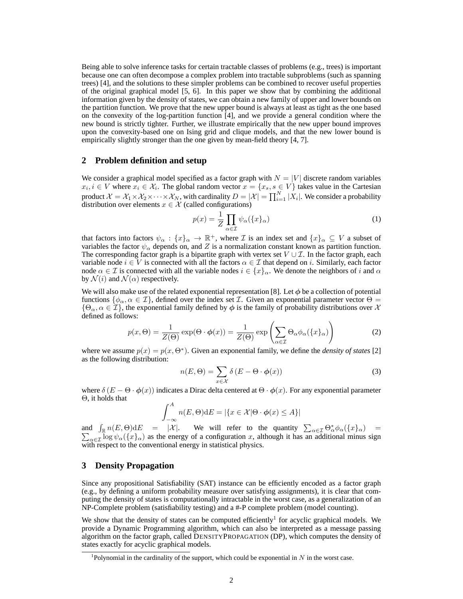Being able to solve inference tasks for certain tractable classes of problems (e.g., trees) is important because one can often decompose a complex problem into tractable subproblems (such as spanning trees) [4], and the solutions to these simpler problems can be combined to recover useful properties of the original graphical model [5, 6]. In this paper we show that by combining the additional information given by the density of states, we can obtain a new family of upper and lower bounds on the partition function. We prove that the new upper bound is always at least as tight as the one based on the convexity of the log-partition function [4], and we provide a general condition where the new bound is strictly tighter. Further, we illustrate empirically that the new upper bound improves upon the convexity-based one on Ising grid and clique models, and that the new lower bound is empirically slightly stronger than the one given by mean-field theory [4, 7].

## **2 Problem definition and setup**

We consider a graphical model specified as a factor graph with  $N = |V|$  discrete random variables  $x_i, i \in V$  where  $x_i \in \mathcal{X}_i$ . The global random vector  $x = \{x_s, s \in V\}$  takes value in the Cartesian product  $\mathcal{X} = \mathcal{X}_1 \times \mathcal{X}_2 \times \cdots \times \mathcal{X}_N$ , with cardinality  $D = |\mathcal{X}| = \prod_{i=1}^N |X_i|$ . We consider a probability distribution over elements  $x \in \mathcal{X}$  (called configurations)

$$
p(x) = \frac{1}{Z} \prod_{\alpha \in \mathcal{I}} \psi_{\alpha}(\{x\}_{\alpha})
$$
 (1)

that factors into factors  $\psi_\alpha : \{x\}_\alpha \to \mathbb{R}^+$ , where  $\mathcal I$  is an index set and  $\{x\}_\alpha \subseteq V$  a subset of variables the factor  $\psi_{\alpha}$  depends on, and Z is a normalization constant known as partition function. The corresponding factor graph is a bipartite graph with vertex set  $V \cup \mathcal{I}$ . In the factor graph, each variable node  $i \in V$  is connected with all the factors  $\alpha \in \mathcal{I}$  that depend on i. Similarly, each factor node  $\alpha \in \mathcal{I}$  is connected with all the variable nodes  $i \in \{x\}_\alpha$ . We denote the neighbors of i and  $\alpha$ by  $\mathcal{N}(i)$  and  $\mathcal{N}(\alpha)$  respectively.

We will also make use of the related exponential representation [8]. Let  $\phi$  be a collection of potential functions  $\{\phi_{\alpha}, \alpha \in \mathcal{I}\}\)$ , defined over the index set  $\mathcal{I}$ . Given an exponential parameter vector  $\Theta =$  $\{\Theta_\alpha, \alpha \in \mathcal{I}\}\$ , the exponential family defined by  $\phi$  is the family of probability distributions over X defined as follows:

$$
p(x,\Theta) = \frac{1}{Z(\Theta)} \exp(\Theta \cdot \phi(x)) = \frac{1}{Z(\Theta)} \exp\left(\sum_{\alpha \in \mathcal{I}} \Theta_{\alpha} \phi_{\alpha}(\{x\}_{\alpha})\right)
$$
(2)

where we assume  $p(x) = p(x, \Theta^*)$ . Given an exponential family, we define the *density of states* [2] as the following distribution:

$$
n(E, \Theta) = \sum_{x \in \mathcal{X}} \delta(E - \Theta \cdot \phi(x))
$$
 (3)

where  $\delta (E - \Theta \cdot \phi(x))$  indicates a Dirac delta centered at  $\Theta \cdot \phi(x)$ . For any exponential parameter Θ, it holds that

$$
\int_{-\infty}^{A} n(E, \Theta) dE = |\{x \in \mathcal{X} | \Theta \cdot \phi(x) \le A\}|
$$

and  $\int_{\mathbb{R}} n(E, \Theta) dE = |\mathcal{X}|$ . We will refer to the quantity  $\sum_{\alpha \in \mathcal{I}} \Theta_{\alpha}^* \phi_{\alpha}(\{x\}_{\alpha}) = \sum_{\alpha \in \mathcal{I}} \log \psi_{\alpha}(\{x\}_{\alpha})$  as the energy of a configuration x, although it has an additional minus sign with respect to the conventional energy in statistical physics.

# **3 Density Propagation**

Since any propositional Satisfiability (SAT) instance can be efficiently encoded as a factor graph (e.g., by defining a uniform probability measure over satisfying assignments), it is clear that computing the density of states is computationally intractable in the worst case, as a generalization of an NP-Complete problem (satisfiability testing) and a #-P complete problem (model counting).

We show that the density of states can be computed efficiently<sup>1</sup> for acyclic graphical models. We provide a Dynamic Programming algorithm, which can also be interpreted as a message passing algorithm on the factor graph, called DENSITYPROPAGATION (DP), which computes the density of states exactly for acyclic graphical models.

<sup>&</sup>lt;sup>1</sup>Polynomial in the cardinality of the support, which could be exponential in  $N$  in the worst case.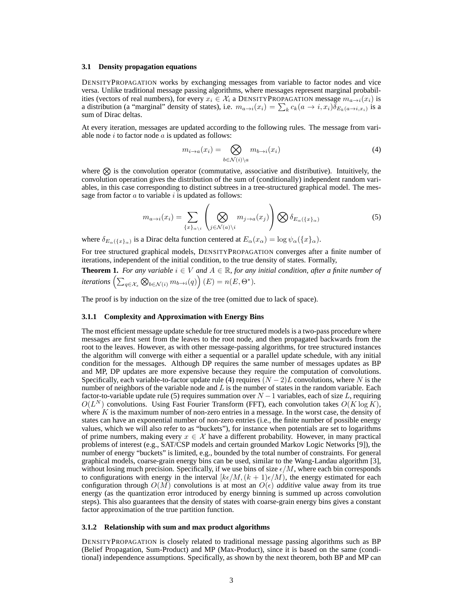#### **3.1 Density propagation equations**

DENSITYPROPAGATION works by exchanging messages from variable to factor nodes and vice versa. Unlike traditional message passing algorithms, where messages represent marginal probabilities (vectors of real numbers), for every  $x_i \in \mathcal{X}_i$  a DENSITYPROPAGATION message  $m_{a\to i}(x_i)$  is a distribution (a "marginal" density of states), i.e.  $m_{a\to i}(x_i) = \sum_k c_k (a \to i, x_i) \delta_{E_k(a \to i, x_i)}$  is a sum of Dirac deltas.

At every iteration, messages are updated according to the following rules. The message from variable node  $i$  to factor node  $a$  is updated as follows:

$$
m_{i \to a}(x_i) = \bigotimes_{b \in \mathcal{N}(i) \backslash a} m_{b \to i}(x_i)
$$
 (4)

where  $\otimes$  is the convolution operator (commutative, associative and distributive). Intuitively, the convolution operation gives the distribution of the sum of (conditionally) independent random variables, in this case corresponding to distinct subtrees in a tree-structured graphical model. The message from factor  $a$  to variable  $i$  is updated as follows:

$$
m_{a \to i}(x_i) = \sum_{\{x\}_{\alpha \setminus i}} \left( \bigotimes_{j \in \mathcal{N}(a) \setminus i} m_{j \to a}(x_j) \right) \bigotimes \delta_{E_\alpha(\{x\}_\alpha)} \tag{5}
$$

where  $\delta_{E_\alpha(\{x\}_\alpha)}$  is a Dirac delta function centered at  $E_\alpha(x_\alpha) = \log \psi_\alpha(\{x\}_\alpha)$ .

For tree structured graphical models, DENSITYPROPAGATION converges after a finite number of iterations, independent of the initial condition, to the true density of states. Formally,

**Theorem 1.** *For any variable*  $i \in V$  *and*  $A \in \mathbb{R}$ *, for any initial condition, after a finite number of* iterations  $\left(\sum_{q\in\mathcal{X}_s}\bigotimes_{b\in\mathcal{N}(i)} m_{b\rightarrow i}(q)\right)(E) = n(E,\Theta^*).$ 

The proof is by induction on the size of the tree (omitted due to lack of space).

#### **3.1.1 Complexity and Approximation with Energy Bins**

The most efficient message update schedule for tree structured models is a two-pass procedure where messages are first sent from the leaves to the root node, and then propagated backwards from the root to the leaves. However, as with other message-passing algorithms, for tree structured instances the algorithm will converge with either a sequential or a parallel update schedule, with any initial condition for the messages. Although DP requires the same number of messages updates as BP and MP, DP updates are more expensive because they require the computation of convolutions. Specifically, each variable-to-factor update rule (4) requires  $(N-2)L$  convolutions, where N is the number of neighbors of the variable node and  $L$  is the number of states in the random variable. Each factor-to-variable update rule (5) requires summation over  $N-1$  variables, each of size L, requiring  $O(L^N)$  convolutions. Using Fast Fourier Transform (FFT), each convolution takes  $O(K \log K)$ , where  $K$  is the maximum number of non-zero entries in a message. In the worst case, the density of states can have an exponential number of non-zero entries (i.e., the finite number of possible energy values, which we will also refer to as "buckets"), for instance when potentials are set to logarithms of prime numbers, making every  $x \in \mathcal{X}$  have a different probability. However, in many practical problems of interest (e.g., SAT/CSP models and certain grounded Markov Logic Networks [9]), the number of energy "buckets" is limited, e.g., bounded by the total number of constraints. For general graphical models, coarse-grain energy bins can be used, similar to the Wang-Landau algorithm [3], without losing much precision. Specifically, if we use bins of size  $\epsilon/M$ , where each bin corresponds to configurations with energy in the interval  $[k\epsilon/M,(k+1)\epsilon/M)$ , the energy estimated for each configuration through  $O(M)$  convolutions is at most an  $O(\epsilon)$  *additive* value away from its true energy (as the quantization error introduced by energy binning is summed up across convolution steps). This also guarantees that the density of states with coarse-grain energy bins gives a constant factor approximation of the true partition function.

#### **3.1.2 Relationship with sum and max product algorithms**

DENSITYPROPAGATION is closely related to traditional message passing algorithms such as BP (Belief Propagation, Sum-Product) and MP (Max-Product), since it is based on the same (conditional) independence assumptions. Specifically, as shown by the next theorem, both BP and MP can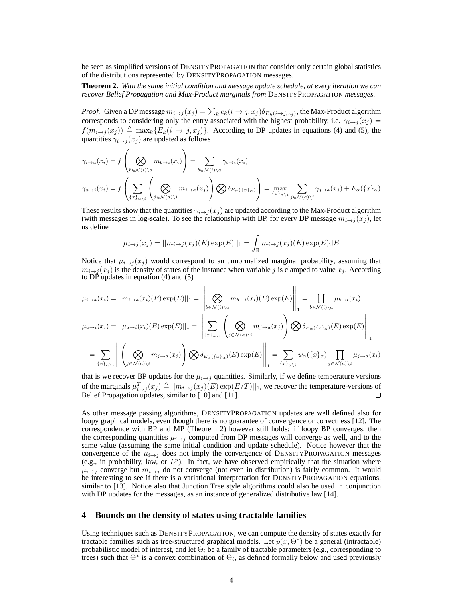be seen as simplified versions of DENSITYPROPAGATION that consider only certain global statistics of the distributions represented by DENSITYPROPAGATION messages.

**Theorem 2.** *With the same initial condition and message update schedule, at every iteration we can recover Belief Propagation and Max-Product marginals from* DENSITYPROPAGATION *messages.*

*Proof.* Given a DP message  $m_{i\to j}(x_j) = \sum_k c_k(i\to j, x_j) \delta_{E_k(i\to j, x_j)}$ , the Max-Product algorithm corresponds to considering only the entry associated with the highest probability, i.e.  $\gamma_{i\to j}(x_j)$  =  $f(m_{i\rightarrow j}(x_j)) \triangleq \max_k{E_k(i \rightarrow j, x_j)}$ . According to DP updates in equations (4) and (5), the quantities  $\gamma_{i\rightarrow j}(x_j)$  are updated as follows

$$
\gamma_{i \to a}(x_i) = f\left(\bigotimes_{b \in \mathcal{N}(i) \setminus a} m_{b \to i}(x_i)\right) = \sum_{b \in \mathcal{N}(i) \setminus a} \gamma_{b \to i}(x_i)
$$
\n
$$
\gamma_{a \to i}(x_i) = f\left(\sum_{\{x\}_{\alpha \setminus i}} \left(\bigotimes_{j \in \mathcal{N}(a) \setminus i} m_{j \to a}(x_j)\right) \bigotimes \delta_{E_{\alpha}(\{x\}_{\alpha})}\right) = \max_{\{x\}_{\alpha \setminus i}} \sum_{j \in \mathcal{N}(a) \setminus i} \gamma_{j \to a}(x_j) + E_{\alpha}(\{x\}_{\alpha})
$$

These results show that the quantities  $\gamma_{i\to j}(x_j)$  are updated according to the Max-Product algorithm (with messages in log-scale). To see the relationship with BP, for every DP message  $m_{i\rightarrow j}(x_j)$ , let us define

$$
\mu_{i \to j}(x_j) = ||m_{i \to j}(x_j)(E) \exp(E)||_1 = \int_{\mathbb{R}} m_{i \to j}(x_j)(E) \exp(E) dE
$$

Notice that  $\mu_{i\to j}(x_j)$  would correspond to an unnormalized marginal probability, assuming that  $m_{i\to j}(x_j)$  is the density of states of the instance when variable j is clamped to value  $x_j$ . According to DP updates in equation (4) and (5)

$$
\mu_{i \to a}(x_i) = ||m_{i \to a}(x_i)(E) \exp(E)||_1 = \left\| \bigotimes_{b \in \mathcal{N}(i) \backslash a} m_{b \to i}(x_i)(E) \exp(E) \right\|_1 = \prod_{b \in \mathcal{N}(i) \backslash a} \mu_{b \to i}(x_i)
$$
\n
$$
\mu_{a \to i}(x_i) = ||\mu_{a \to i}(x_i)(E) \exp(E)||_1 = \left\| \sum_{\{x\}_{\alpha \backslash i}} \left( \bigotimes_{j \in \mathcal{N}(a) \backslash i} m_{j \to a}(x_j) \right) \bigotimes \delta_{E_{\alpha}(\{x\}_{\alpha}\backslash i)}(E) \exp(E) \right\|_1
$$
\n
$$
= \sum_{\{x\}_{\alpha \backslash i}} \left\| \left( \bigotimes_{j \in \mathcal{N}(a) \backslash i} m_{j \to a}(x_j) \right) \bigotimes \delta_{E_{\alpha}(\{x\}_{\alpha}\backslash i)}(E) \exp(E) \right\|_1 = \sum_{\{x\}_{\alpha \backslash i}} \psi_{\alpha}(\{x\}_{\alpha}) \prod_{j \in \mathcal{N}(a) \backslash i} \mu_{j \to a}(x_i)
$$

that is we recover BP updates for the  $\mu_{i\to j}$  quantities. Similarly, if we define temperature versions of the marginals  $\mu_{i\to j}^T(x_j) \triangleq ||m_{i\to j}(x_j)(E) \exp(E/T)||_1$ , we recover the temperature-versions of Belief Propagation updates, similar to [10] and [11].  $\Box$ 

As other message passing algorithms, DENSITYPROPAGATION updates are well defined also for loopy graphical models, even though there is no guarantee of convergence or correctness [12]. The correspondence with BP and MP (Theorem 2) however still holds: if loopy BP converges, then the corresponding quantities  $\mu_{i\to j}$  computed from DP messages will converge as well, and to the same value (assuming the same initial condition and update schedule). Notice however that the convergence of the  $\mu_{i\to j}$  does not imply the convergence of DENSITYPROPAGATION messages (e.g., in probability, law, or  $L^p$ ). In fact, we have observed empirically that the situation where  $\mu_{i\to j}$  converge but  $m_{i\to j}$  do not converge (not even in distribution) is fairly common. It would be interesting to see if there is a variational interpretation for DENSITYPROPAGATION equations, similar to [13]. Notice also that Junction Tree style algorithms could also be used in conjunction with DP updates for the messages, as an instance of generalized distributive law [14].

## **4 Bounds on the density of states using tractable families**

Using techniques such as DENSITYPROPAGATION, we can compute the density of states exactly for tractable families such as tree-structured graphical models. Let  $p(x, \Theta^*)$  be a general (intractable) probabilistic model of interest, and let  $\Theta_i$  be a family of tractable parameters (e.g., corresponding to trees) such that  $\Theta^*$  is a convex combination of  $\Theta_i$ , as defined formally below and used previously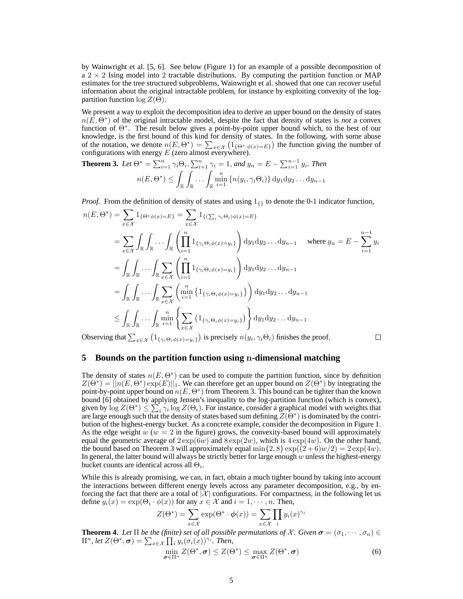by Wainwright et al. [5, 6]. See below (Figure 1) for an example of a possible decomposition of a  $2 \times 2$  Ising model into 2 tractable distributions. By computing the partition function or MAP estimates for the tree structured subproblems, Wainwright et al. showed that one can recover useful information about the original intractable problem, for instance by exploiting convexity of the logpartition function  $\log Z(\Theta)$ .

We present a way to exploit the decomposition idea to derive an upper bound on the density of states  $n(E, \Theta^*)$  of the original intractable model, despite the fact that density of states is *not* a convex function of Θ<sup>∗</sup> . The result below gives a point-by-point upper bound which, to the best of our knowledge, is the first bound of this kind for density of states. In the following, with some abuse of the notation, we denote  $n(E, \Theta^*) = \sum_{x \in \mathcal{X}} (1_{\{\Theta^*, \phi(x) = E\}})$  the function giving the number of configurations with energy  $E$  (zero almost everywhere).

**Theorem 3.** Let  $\Theta^* = \sum_{i=1}^n \gamma_i \Theta_i$ ,  $\sum_{i=1}^n \gamma_i = 1$ , and  $y_n = E - \sum_{i=1}^{n-1} y_i$ . Then  $n(E, \Theta^*) \leq$ R Z  $\int_{\mathbb{R}} \ldots \int_{\mathbb{R}}$  $\min_{i=1}^{n} \{n(y_i, \gamma_i \Theta_i)\} \, dy_1 dy_2 \dots dy_{n-1}$ 

*Proof.* From the definition of density of states and using  $1_{\{\} }$  to denote the 0-1 indicator function,

$$
n(E, \Theta^*) = \sum_{x \in \mathcal{X}} 1_{\{\Theta^*\phi(x) = E\}} = \sum_{x \in \mathcal{X}} 1_{\{(\sum_i \gamma_i \Theta_i)\phi(x) = E\}}
$$
  
\n
$$
= \sum_{x \in \mathcal{X}} \int_{\mathbb{R}} \int_{\mathbb{R}} \cdots \int_{\mathbb{R}} \left( \prod_{i=1}^n 1_{\{\gamma_i \Theta_i \phi(x) = y_i\}} \right) dy_1 dy_2 \dots dy_{n-1} \quad \text{where } y_n = E - \sum_{i=1}^{n-1} y_i
$$
  
\n
$$
= \int_{\mathbb{R}} \int_{\mathbb{R}} \cdots \int_{\mathbb{R}} \sum_{x \in \mathcal{X}} \left( \prod_{i=1}^n 1_{\{\gamma_i \Theta_i \phi(x) = y_i\}} \right) dy_1 dy_2 \dots dy_{n-1}
$$
  
\n
$$
= \int_{\mathbb{R}} \int_{\mathbb{R}} \cdots \int_{\mathbb{R}} \sum_{x \in \mathcal{X}} \left( \min_{i=1}^n \{1_{\{\gamma_i \Theta_i \phi(x) = y_i\}}\} \right) dy_1 dy_2 \dots dy_{n-1}
$$
  
\n
$$
\leq \int_{\mathbb{R}} \int_{\mathbb{R}} \cdots \int_{\mathbb{R}} \min_{i=1}^n \left\{ \sum_{x \in \mathcal{X}} (1_{\{\gamma_i \Theta_i \phi(x) = y_i\}}) \right\} dy_1 dy_2 \dots dy_{n-1}
$$

Observing that  $\sum_{x \in \mathcal{X}} (1_{\{\gamma_i \Theta_i \phi(x) = y_i\}})$  is precisely  $n(y_i, \gamma_i \Theta_i)$  finishes the proof.

 $\Box$ 

#### **5 Bounds on the partition function using** n**-dimensional matching**

The density of states  $n(E, \Theta^*)$  can be used to compute the partition function, since by definition  $Z(\Theta^*) = ||n(E, \Theta^*) \exp(E)||_1$ . We can therefore get an upper bound on  $Z(\Theta^*)$  by integrating the point-by-point upper bound on  $n(E, \Theta^*)$  from Theorem 3. This bound can be tighter than the known bound [6] obtained by applying Jensen's inequality to the log-partition function (which is convex), given by  $\log Z(\Theta^*) \leq \sum_i \gamma_i \log Z(\Theta_i)$ . For instance, consider a graphical model with weights that are large enough such that the density of states based sum defining  $\overline{Z}(\Theta^*)$  is dominated by the contribution of the highest-energy bucket. As a concrete example, consider the decomposition in Figure 1. As the edge weight  $w$  ( $w = 2$  in the figure) grows, the convexity-based bound will approximately equal the geometric average of  $2 \exp(6w)$  and  $8 \exp(2w)$ , which is  $4 \exp(4w)$ . On the other hand, the bound based on Theorem 3 will approximately equal  $\min\{2, 8\} \exp((2+6)w/2) = 2 \exp(4w)$ . In general, the latter bound will always be strictly better for large enough  $w$  unless the highest-energy bucket counts are identical across all  $\Theta_i$ .

While this is already promising, we can, in fact, obtain a much tighter bound by taking into account the interactions between different energy levels across any parameter decomposition, e.g., by enforcing the fact that there are a total of  $|\mathcal{X}|$  configurations. For compactness, in the following let us define  $y_i(x) = \exp(\Theta_i \cdot \phi(x))$  for any  $x \in \mathcal{X}$  and  $i = 1, \dots, n$ . Then,

$$
Z(\Theta^*) = \sum_{x \in \mathcal{X}} \exp(\Theta^* \cdot \phi(x)) = \sum_{x \in \mathcal{X}} \prod_i y_i(x)^{\gamma_i}
$$

**Theorem 4.** Let  $\Pi$  be the (finite) set of all possible permutations of X. Given  $\sigma = (\sigma_1, \dots, \sigma_n) \in$  $\Pi^n$ , let  $Z(\Theta^*, \sigma) = \sum_{x \in \mathcal{X}} \prod_i y_i(\sigma_i(x))^{\gamma_i}$ . Then,

$$
\min_{\boldsymbol{\sigma} \in \Pi^n} Z(\Theta^*, \boldsymbol{\sigma}) \le Z(\Theta^*) \le \max_{\boldsymbol{\sigma} \in \Pi^n} Z(\Theta^*, \boldsymbol{\sigma})
$$
\n(6)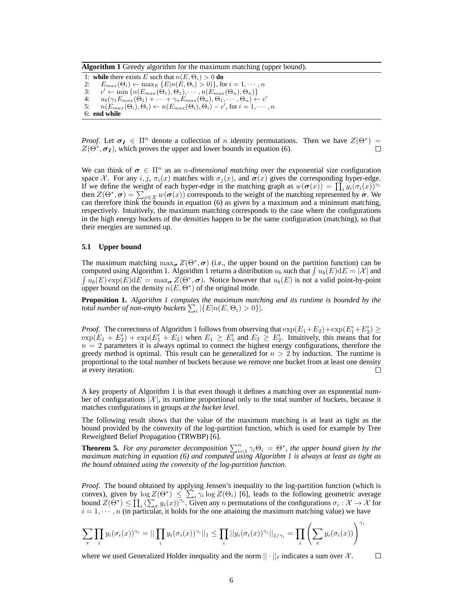**Algorithm 1** Greedy algorithm for the maximum matching (upper bound).

1: **while** there exists E such that  $n(E, \Theta_i) > 0$  do 2:  $E_{max}(\Theta_i) \leftarrow \max_E \{E|n(E, \Theta_i) > 0\}$ , for  $i = 1, \dots, n$  $3:$  $c' \leftarrow \min\{n(E_{max}(\Theta_1), \Theta_1), \cdots, n(E_{max}(\Theta_n), \Theta_n)\}\$ 4:  $u_b(\gamma_1 E_{max}(\Theta_1) + \cdots + \gamma_n E_{max}(\Theta_n), \Theta_1, \cdots, \Theta_n) \leftarrow c'$  $5: \ \ \ \ \ n(E_{max}(\Theta_i),\Theta_i) \leftarrow n(E_{max}(\Theta_i),\Theta_i) - c', \text{for } i=1,\cdots,n$ 6: **end while**

*Proof.* Let  $\sigma_I \in \Pi^n$  denote a collection of n identity permutations. Then we have  $Z(\Theta^*)$  =  $Z(\Theta^*, \sigma_I)$ , which proves the upper and lower bounds in equation (6).  $\Box$ 

We can think of  $\sigma \in \Pi^n$  as an *n-dimensional matching* over the exponential size configuration space X. For any i, j,  $\sigma_i(x)$  matches with  $\sigma_j(x)$ , and  $\sigma(x)$  gives the corresponding hyper-edge. If we define the weight of each hyper-edge in the matching graph as  $w(\sigma(x)) = \prod_i y_i(\sigma_i(x))^{\gamma_i}$ then  $Z(\Theta^*, \sigma) = \sum_{x \in \mathcal{X}} w(\sigma(x))$  corresponds to the weight of the matching represented by  $\sigma$ . We can therefore think the bounds in equation (6) as given by a maximum and a minimum matching, respectively. Intuitively, the maximum matching corresponds to the case where the configurations in the high energy buckets of the densities happen to be the same configuration (matching), so that their energies are summed up.

#### **5.1 Upper bound**

The maximum matching  $\max_{\sigma} Z(\Theta^*, \sigma)$  (i.e., the upper bound on the partition function) can be computed using Algorithm 1. Algorithm 1 returns a distribution  $u_b$  such that  $\int u_b(E) dE = |\mathcal{X}|$  and  $\int u_b(E) \exp(E) dE = \max_{\sigma} Z(\Theta^*, \sigma)$ . Notice however that  $u_b(E)$  is not a valid point-by-point upper bound on the density  $n(E, \Theta^*)$  of the original mode.

**Proposition 1.** *Algorithm 1 computes the maximum matching and its runtime is bounded by the total number of non-empty buckets*  $\sum_i |\{E|n(E,\Theta_i) > 0\}|$ .

*Proof.* The correctness of Algorithm 1 follows from observing that  $\exp(E_1+E_2)+\exp(E_1'+E_2') \ge$  $\exp(E_1 + E_2') + \exp(E_1' + E_2)$  when  $E_1 \ge E_1'$  and  $E_2 \ge E_2'$ . Intuitively, this means that for  $n = 2$  parameters it is always optimal to connect the highest energy configurations, therefore the greedy method is optimal. This result can be generalized for  $n > 2$  by induction. The runtime is proportional to the total number of buckets because we remove one bucket from at least one density at every iteration.  $\Box$ 

A key property of Algorithm 1 is that even though it defines a matching over an exponential number of configurations  $|\mathcal{X}|$ , its runtime proportional only to the total number of buckets, because it matches configurations in groups *at the bucket level*.

The following result shows that the value of the maximum matching is at least as tight as the bound provided by the convexity of the log-partition function, which is used for example by Tree Reweighted Belief Propagation (TRWBP) [6].

**Theorem 5.** *For any parameter decomposition*  $\sum_{i=1}^{n} \gamma_i \Theta_i = \Theta^*$ , *the upper bound given by the maximum matching in equation (6) and computed using Algorithm 1 is always at least as tight as the bound obtained using the convexity of the log-partition function.*

*Proof.* The bound obtained by applying Jensen's inequality to the log-partition function (which is convex), given by  $\log Z(\Theta^*) \leq \sum_i \gamma_i \log Z(\Theta_i)$  [6], leads to the following geometric average bound  $Z(\Theta^*) \le \prod_i (\sum_x y_i(x))^{\gamma_i}$ . Given any n permutations of the configurations  $\sigma_i : \mathcal{X} \to \mathcal{X}$  for  $i = 1, \dots, n$  (in particular, it holds for the one attaining the maximum matching value) we have

$$
\sum_{x} \prod_{i} y_i (\sigma_i(x))^{\gamma_i} = || \prod_i y_i (\sigma_i(x))^{\gamma_i} ||_1 \leq \prod_i ||y_i(\sigma_i(x))^{\gamma_i} ||_{1/\gamma_i} = \prod_i \left( \sum_x y_i(\sigma_i(x)) \right)^{\gamma_i}
$$

where we used Generalized Holder inequality and the norm  $|| \cdot ||_{\ell}$  indicates a sum over X.  $\Box$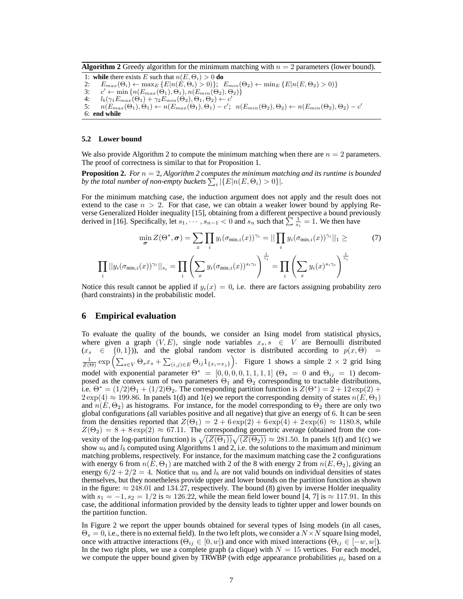**Algorithm 2** Greedy algorithm for the minimum matching with  $n = 2$  parameters (lower bound).

1: **while** there exists E such that  $n(E, \Theta_i) > 0$  do 2:  $E_{max}(\Theta_i) \leftarrow \max_E \{E|n(E, \Theta_i) > 0\};$   $E_{min}(\Theta_2) \leftarrow \min_E \{E|n(E, \Theta_2) > 0\}$  $3:$  $c' \leftarrow \min\left\{n(E_{max}(\Theta_1), \Theta_1), n(E_{min}(\Theta_2), \Theta_2)\right\}$ 4:  $l_b(\gamma_1 E_{max}(\Theta_1) + \gamma_2 E_{min}(\Theta_2), \Theta_1, \Theta_2) \leftarrow c'$  $5: \ \ \ \ \ n(E_{max}(\Theta_1),\Theta_1) \leftarrow n(E_{max}(\Theta_1),\Theta_1) - c'; \ \ \ n(E_{min}(\Theta_2),\Theta_2) \leftarrow n(E_{min}(\Theta_2),\Theta_2) - c'$ 6: **end while**

#### **5.2 Lower bound**

We also provide Algorithm 2 to compute the minimum matching when there are  $n = 2$  parameters. The proof of correctness is similar to that for Proposition 1.

**Proposition 2.** *For*  $n = 2$ , *Algorithm 2 computes the minimum matching and its runtime is bounded* by the total number of non-empty buckets  $\sum_i |\{E|n(E,\Theta_i) > 0\}|$ .

For the minimum matching case, the induction argument does not apply and the result does not extend to the case  $n > 2$ . For that case, we can obtain a weaker lower bound by applying Reverse Generalized Holder inequality [15], obtaining from a different perspective a bound previously derived in [16]. Specifically, let  $s_1, \dots, s_{n-1} < 0$  and  $s_n$  such that  $\sum_{i=1}^{n} \frac{1}{s_i} = 1$ . We then have

$$
\min_{\sigma} Z(\Theta^*, \sigma) = \sum_{x} \prod_{i} y_i (\sigma_{\min,i}(x))^{\gamma_i} = || \prod_{i} y_i (\sigma_{\min,i}(x))^{\gamma_i} ||_1 \geq (7)
$$
\n
$$
\prod_{i} ||y_i (\sigma_{\min,i}(x))^{\gamma_i}||_{s_i} = \prod_{i} \left( \sum_{x} y_i (\sigma_{\min,i}(x))^{\delta_i \gamma_i} \right)^{\frac{1}{s_i}} = \prod_{i} \left( \sum_{x} y_i (x)^{\delta_i \gamma_i} \right)^{\frac{1}{s_i}}
$$

Notice this result cannot be applied if  $y_i(x) = 0$ , i.e. there are factors assigning probability zero (hard constraints) in the probabilistic model.

## **6 Empirical evaluation**

i

To evaluate the quality of the bounds, we consider an Ising model from statistical physics, where given a graph  $(V, E)$ , single node variables  $x_s, s \in V$  are Bernoulli distributed  $(x_s \in \{0,1\})$ , and the global random vector is distributed according to  $p(x, \Theta)$  =  $\frac{1}{Z(\Theta)} \exp \left( \sum_{s \in V} \Theta_s x_s + \sum_{(i,j) \in E} \Theta_{ij} 1_{\{x_i = x_j\}} \right)$ . Figure 1 shows a simple  $2 \times 2$  grid Ising model with exponential parameter  $\Theta^* = [0, 0, 0, 0, 1, 1, 1, 1]$  ( $\Theta_s = 0$  and  $\Theta_{ij} = 1$ ) decomposed as the convex sum of two parameters  $\Theta_1$  and  $\Theta_2$  corresponding to tractable distributions, i.e.  $\Theta^* = (1/2)\Theta_1 + (1/2)\Theta_2$ . The corresponding partition function is  $Z(\Theta^*) = 2 + 12 \exp(2) + 12 \exp(2)$  $2 \exp(4) \approx 199.86$ . In panels 1(d) and 1(e) we report the corresponding density of states  $n(E, \Theta_1)$ and  $n(E, \Theta_2)$  as histograms. For instance, for the model corresponding to  $\Theta_2$  there are only two global configurations (all variables positive and all negative) that give an energy of 6. It can be seen from the densities reported that  $Z(\Theta_1) = 2 + 6 \exp(2) + 6 \exp(4) + 2 \exp(6) \approx 1180.8$ , while  $Z(\Theta_2) = 8 + 8 \exp(2) \approx 67.11$ . The corresponding geometric average (obtained from the convexity of the log-partition function) is  $\sqrt{(Z(\Theta_1))}\sqrt{(Z(\Theta_2))} \approx 281.50$ . In panels 1(f) and 1(c) we show  $u_b$  and  $l_b$  computed using Algorithms 1 and 2, i.e. the solutions to the maximum and minimum matching problems, respectively. For instance, for the maximum matching case the 2 configurations with energy 6 from  $n(E, \Theta_1)$  are matched with 2 of the 8 with energy 2 from  $n(E, \Theta_2)$ , giving an energy  $6/2 + 2/2 = 4$ . Notice that  $u<sub>b</sub>$  and  $l<sub>b</sub>$  are not valid bounds on individual densities of states themselves, but they nonetheless provide upper and lower bounds on the partition function as shown in the figure:  $\approx 248.01$  and 134.27, respectively. The bound (8) given by inverse Holder inequality with  $s_1 = -1$ ,  $s_2 = 1/2$  is  $\approx 126.22$ , while the mean field lower bound [4, 7] is  $\approx 117.91$ . In this case, the additional information provided by the density leads to tighter upper and lower bounds on the partition function.

In Figure 2 we report the upper bounds obtained for several types of Ising models (in all cases,  $\Theta_s = 0$ , i.e., there is no external field). In the two left plots, we consider a  $N \times N$  square Ising model, once with attractive interactions  $(\Theta_{ij} \in [0, w])$  and once with mixed interactions  $(\Theta_{ij} \in [-w, w])$ . In the two right plots, we use a complete graph (a clique) with  $N = 15$  vertices. For each model, we compute the upper bound given by TRWBP (with edge appearance probabilities  $\mu_e$  based on a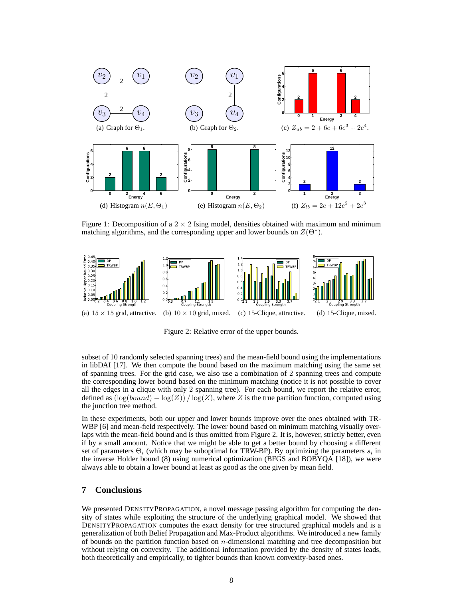

Figure 1: Decomposition of a  $2 \times 2$  Ising model, densities obtained with maximum and minimum matching algorithms, and the corresponding upper and lower bounds on  $Z(\Theta^*)$ .



Figure 2: Relative error of the upper bounds.

subset of 10 randomly selected spanning trees) and the mean-field bound using the implementations in libDAI [17]. We then compute the bound based on the maximum matching using the same set of spanning trees. For the grid case, we also use a combination of 2 spanning trees and compute the corresponding lower bound based on the minimum matching (notice it is not possible to cover all the edges in a clique with only 2 spanning tree). For each bound, we report the relative error, defined as  $(\log(bound) - \log(Z)) / \log(Z)$ , where Z is the true partition function, computed using the junction tree method.

In these experiments, both our upper and lower bounds improve over the ones obtained with TR-WBP [6] and mean-field respectively. The lower bound based on minimum matching visually overlaps with the mean-field bound and is thus omitted from Figure 2. It is, however, strictly better, even if by a small amount. Notice that we might be able to get a better bound by choosing a different set of parameters  $\Theta_i$  (which may be suboptimal for TRW-BP). By optimizing the parameters  $s_i$  in the inverse Holder bound (8) using numerical optimization (BFGS and BOBYQA [18]), we were always able to obtain a lower bound at least as good as the one given by mean field.

#### **7 Conclusions**

We presented DENSITYPROPAGATION, a novel message passing algorithm for computing the density of states while exploiting the structure of the underlying graphical model. We showed that DENSITYPROPAGATION computes the exact density for tree structured graphical models and is a generalization of both Belief Propagation and Max-Product algorithms. We introduced a new family of bounds on the partition function based on  $n$ -dimensional matching and tree decomposition but without relying on convexity. The additional information provided by the density of states leads, both theoretically and empirically, to tighter bounds than known convexity-based ones.